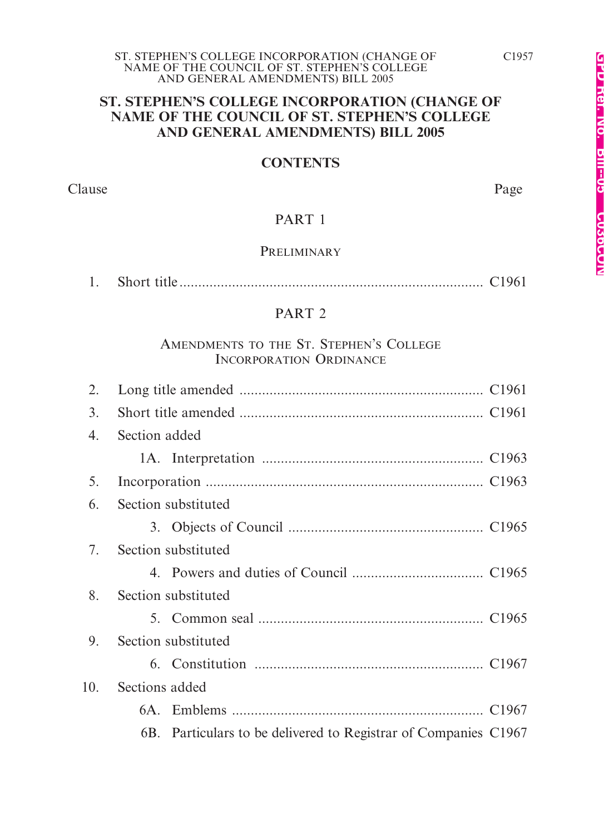#### **ST. STEPHEN'S COLLEGE INCORPORATION (CHANGE OF NAME OF THE COUNCIL OF ST. STEPHEN'S COLLEGE AND GENERAL AMENDMENTS) BILL 2005**

#### **CONTENTS**

Clause Page

### PART 1

#### **PRELIMINARY**

|--|--|--|

#### PART 2

#### AMENDMENTS TO THE ST. STEPHEN'S COLLEGE INCORPORATION ORDINANCE

| 2.  |                                                                 |  |  |  |
|-----|-----------------------------------------------------------------|--|--|--|
| 3.  |                                                                 |  |  |  |
| 4.  | Section added                                                   |  |  |  |
|     |                                                                 |  |  |  |
| 5.  |                                                                 |  |  |  |
| 6.  | Section substituted                                             |  |  |  |
|     |                                                                 |  |  |  |
| 7.  | Section substituted                                             |  |  |  |
|     |                                                                 |  |  |  |
| 8.  | Section substituted                                             |  |  |  |
|     |                                                                 |  |  |  |
| 9.  | Section substituted                                             |  |  |  |
|     |                                                                 |  |  |  |
| 10. | Sections added                                                  |  |  |  |
|     |                                                                 |  |  |  |
|     | 6B. Particulars to be delivered to Registrar of Companies C1967 |  |  |  |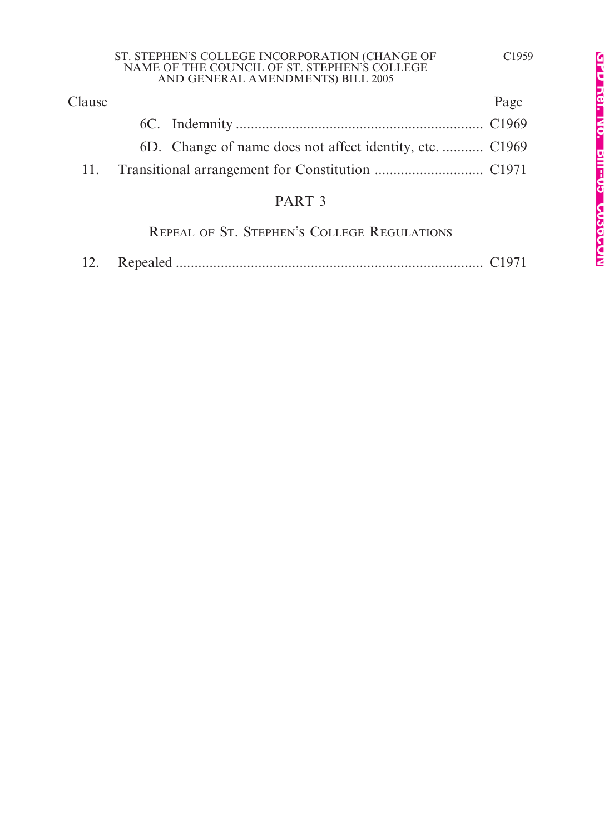| ST. STEPHEN'S COLLEGE INCORPORATION (CHANGE OF |  |
|------------------------------------------------|--|
| NAME OF THE COUNCIL OF ST. STEPHEN'S COLLEGE   |  |
| AND GENERAL AMENDMENTS) BILL 2005              |  |

| Clause |                                                          | Page |
|--------|----------------------------------------------------------|------|
|        |                                                          |      |
|        | 6D. Change of name does not affect identity, etc.  C1969 |      |
|        |                                                          |      |
|        |                                                          |      |

## PART 3

REPEAL OF ST. STEPHEN'S COLLEGE REGULATIONS

|--|--|--|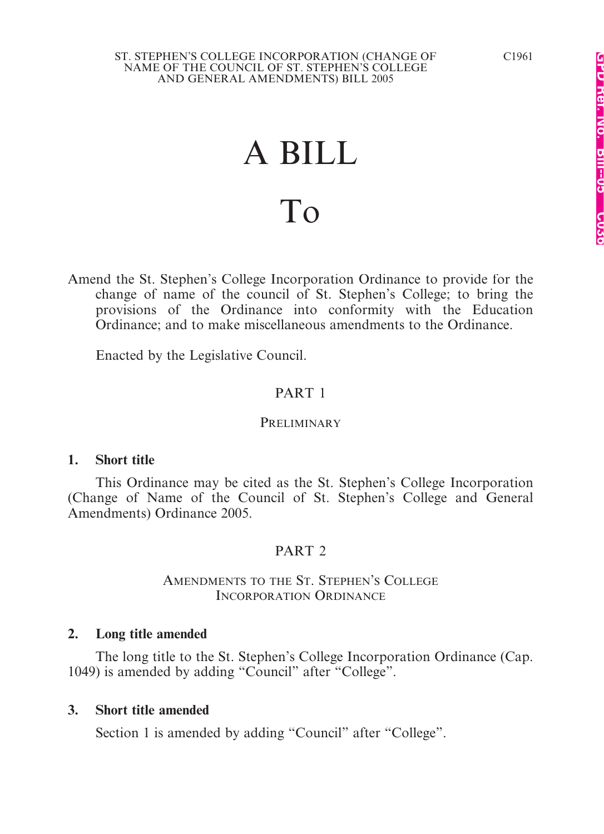#### ST. STEPHEN'S COLLEGE INCORPORATION (CHANGE OF NAME OF THE COUNCIL OF ST. STEPHEN'S COLLEGE AND GENERAL AMENDMENTS) BILL 2005

# A BILL To

Amend the St. Stephen's College Incorporation Ordinance to provide for the change of name of the council of St. Stephen's College; to bring the provisions of the Ordinance into conformity with the Education Ordinance; and to make miscellaneous amendments to the Ordinance.

Enacted by the Legislative Council.

### PART 1

#### PRELIMINARY

#### **1. Short title**

This Ordinance may be cited as the St. Stephen's College Incorporation (Change of Name of the Council of St. Stephen's College and General Amendments) Ordinance 2005.

#### PART<sub>2</sub>

#### AMENDMENTS TO THE ST. STEPHEN'S COLLEGE INCORPORATION ORDINANCE

#### **2. Long title amended**

The long title to the St. Stephen's College Incorporation Ordinance (Cap. 1049) is amended by adding "Council" after "College".

#### **3. Short title amended**

Section 1 is amended by adding "Council" after "College".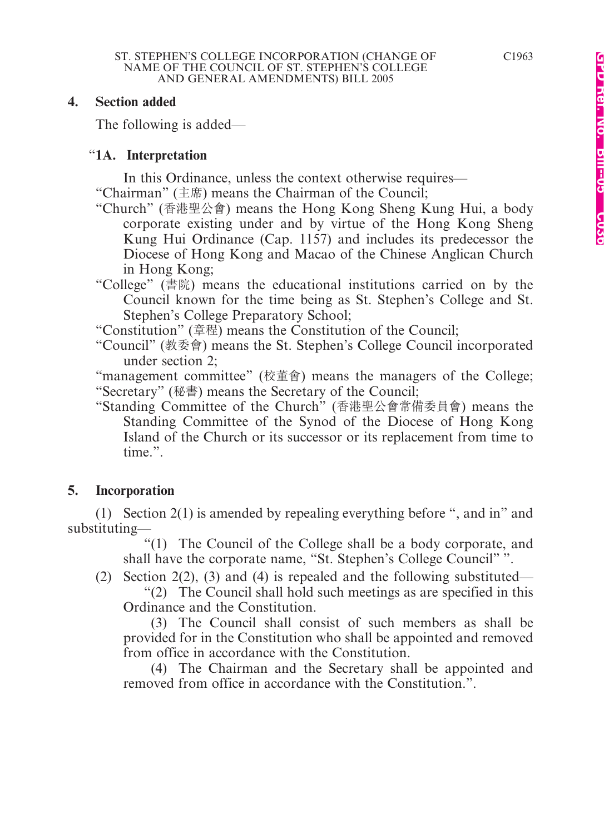#### **4. Section added**

The following is added—

#### "**1A. Interpretation**

In this Ordinance, unless the context otherwise requires—

"Chairman" (主席) means the Chairman of the Council;

- "Church" (香港聖公會) means the Hong Kong Sheng Kung Hui, a body corporate existing under and by virtue of the Hong Kong Sheng Kung Hui Ordinance (Cap. 1157) and includes its predecessor the Diocese of Hong Kong and Macao of the Chinese Anglican Church in Hong Kong;
- "College" (書院) means the educational institutions carried on by the Council known for the time being as St. Stephen's College and St. Stephen's College Preparatory School;

"Constitution" (章程) means the Constitution of the Council;

"Council" (桝委會) means the St. Stephen's College Council incorporated under section 2;

"management committee" (校董會) means the managers of the College; "Secretary" (秘書) means the Secretary of the Council;

"Standing Committee of the Church" (香港聖公會常備委員會) means the Standing Committee of the Synod of the Diocese of Hong Kong Island of the Church or its successor or its replacement from time to time.".

## **5. Incorporation**

(1) Section 2(1) is amended by repealing everything before ", and in" and substituting—

"(1) The Council of the College shall be a body corporate, and shall have the corporate name, "St. Stephen's College Council" ".

(2) Section 2(2), (3) and (4) is repealed and the following substituted— "(2) The Council shall hold such meetings as are specified in this Ordinance and the Constitution.

(3) The Council shall consist of such members as shall be provided for in the Constitution who shall be appointed and removed from office in accordance with the Constitution.

(4) The Chairman and the Secretary shall be appointed and removed from office in accordance with the Constitution.".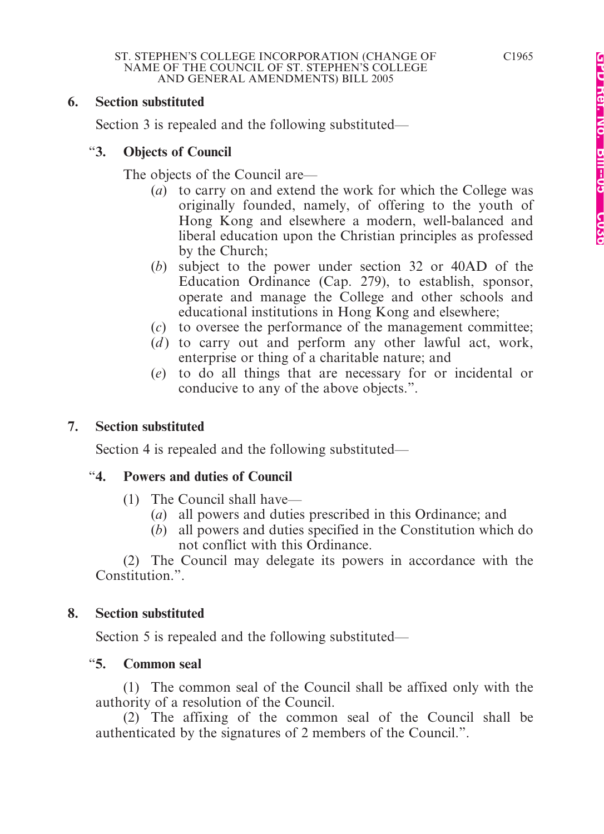#### **6. Section substituted**

Section 3 is repealed and the following substituted—

#### "**3. Objects of Council**

The objects of the Council are—

- (*a*) to carry on and extend the work for which the College was originally founded, namely, of offering to the youth of Hong Kong and elsewhere a modern, well-balanced and liberal education upon the Christian principles as professed by the Church;
- (*b*) subject to the power under section 32 or 40AD of the Education Ordinance (Cap. 279), to establish, sponsor, operate and manage the College and other schools and educational institutions in Hong Kong and elsewhere;
- (*c*) to oversee the performance of the management committee;
- (*d*) to carry out and perform any other lawful act, work, enterprise or thing of a charitable nature; and
- (*e*) to do all things that are necessary for or incidental or conducive to any of the above objects.".

### **7. Section substituted**

Section 4 is repealed and the following substituted—

### "**4. Powers and duties of Council**

- (1) The Council shall have—
	- (*a*) all powers and duties prescribed in this Ordinance; and
	- (*b*) all powers and duties specified in the Constitution which do not conflict with this Ordinance.

(2) The Council may delegate its powers in accordance with the Constitution.".

### **8. Section substituted**

Section 5 is repealed and the following substituted—

### "**5. Common seal**

(1) The common seal of the Council shall be affixed only with the authority of a resolution of the Council.

(2) The affixing of the common seal of the Council shall be authenticated by the signatures of 2 members of the Council.".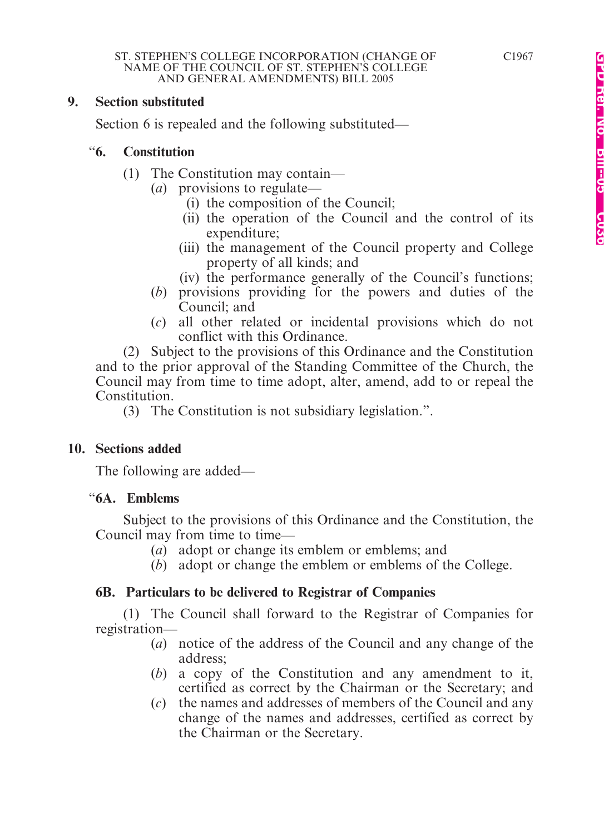#### **9. Section substituted**

Section 6 is repealed and the following substituted—

#### "**6. Constitution**

- (1) The Constitution may contain—
	- (*a*) provisions to regulate—
		- (i) the composition of the Council;
		- (ii) the operation of the Council and the control of its expenditure;
		- (iii) the management of the Council property and College property of all kinds; and
		- (iv) the performance generally of the Council's functions;
	- (*b*) provisions providing for the powers and duties of the Council; and
	- (*c*) all other related or incidental provisions which do not conflict with this Ordinance.

(2) Subject to the provisions of this Ordinance and the Constitution and to the prior approval of the Standing Committee of the Church, the Council may from time to time adopt, alter, amend, add to or repeal the Constitution.

(3) The Constitution is not subsidiary legislation.".

### **10. Sections added**

The following are added—

### "**6A. Emblems**

Subject to the provisions of this Ordinance and the Constitution, the Council may from time to time—

- (*a*) adopt or change its emblem or emblems; and
- (*b*) adopt or change the emblem or emblems of the College.

### **6B. Particulars to be delivered to Registrar of Companies**

(1) The Council shall forward to the Registrar of Companies for registration—

- (*a*) notice of the address of the Council and any change of the address;
- (*b*) a copy of the Constitution and any amendment to it, certified as correct by the Chairman or the Secretary; and
- (*c*) the names and addresses of members of the Council and any change of the names and addresses, certified as correct by the Chairman or the Secretary.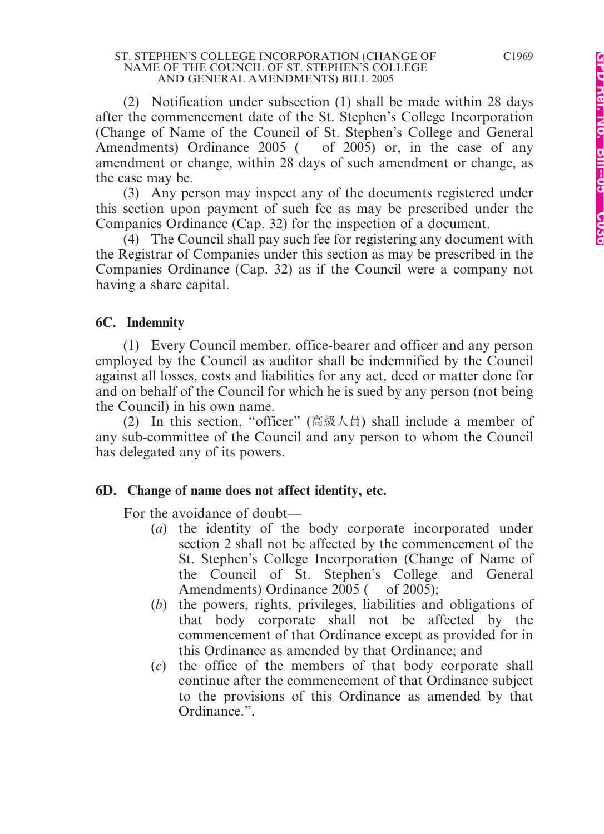#### ST. STEPHEN'S COLLEGE INCORPORATION (CHANGE OF NAME OF THE COUNCIL OF ST. STEPHEN'S COLLEGE AND GENERAL AMENDMENTS) BILL 2005

(2) Notification under subsection (1) shall be made within 28 days after the commencement date of the St. Stephen's College Incorporation (Change of Name of the Council of St. Stephen's College and General Amendments) Ordinance 2005 ( of 2005) or, in the case of any amendment or change, within 28 days of such amendment or change, as the case may be.

(3) Any person may inspect any of the documents registered under this section upon payment of such fee as may be prescribed under the Companies Ordinance (Cap. 32) for the inspection of a document.

(4) The Council shall pay such fee for registering any document with the Registrar of Companies under this section as may be prescribed in the Companies Ordinance (Cap. 32) as if the Council were a company not having a share capital.

#### **6C. Indemnity**

(1) Every Council member, office-bearer and officer and any person employed by the Council as auditor shall be indemnified by the Council against all losses, costs and liabilities for any act, deed or matter done for and on behalf of the Council for which he is sued by any person (not being the Council) in his own name.

(2) In this section, "officer" (高級人員) shall include a member of any sub-committee of the Council and any person to whom the Council has delegated any of its powers.

#### **6D. Change of name does not affect identity, etc.**

For the avoidance of doubt—

- (*a*) the identity of the body corporate incorporated under section 2 shall not be affected by the commencement of the St. Stephen's College Incorporation (Change of Name of the Council of St. Stephen's College and General Amendments) Ordinance 2005 ( of 2005);
- (*b*) the powers, rights, privileges, liabilities and obligations of that body corporate shall not be affected by the commencement of that Ordinance except as provided for in this Ordinance as amended by that Ordinance; and
- (*c*) the office of the members of that body corporate shall continue after the commencement of that Ordinance subject to the provisions of this Ordinance as amended by that Ordinance.".